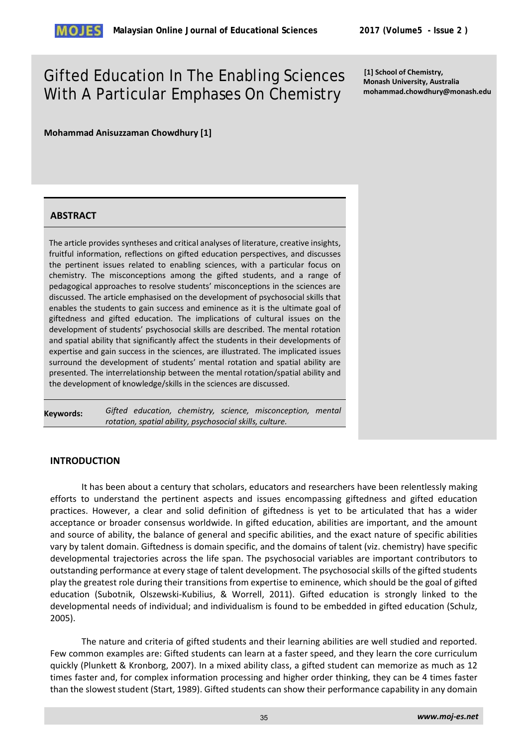

# Gifted Education In The Enabling Sciences With A Particular Emphases On Chemistry

**[1] School of Chemistry, Monash University, Australia mohammad.chowdhury@monash.edu**

**Mohammad Anisuzzaman Chowdhury [1]**

### **ABSTRACT**

The article provides syntheses and critical analyses of literature, creative insights, fruitful information, reflections on gifted education perspectives, and discusses the pertinent issues related to enabling sciences, with a particular focus on chemistry. The misconceptions among the gifted students, and a range of pedagogical approaches to resolve students' misconceptions in the sciences are discussed. The article emphasised on the development of psychosocial skills that enables the students to gain success and eminence as it is the ultimate goal of giftedness and gifted education. The implications of cultural issues on the development of students' psychosocial skills are described. The mental rotation and spatial ability that significantly affect the students in their developments of expertise and gain success in the sciences, are illustrated. The implicated issues surround the development of students' mental rotation and spatial ability are presented. The interrelationship between the mental rotation/spatial ability and the development of knowledge/skills in the sciences are discussed.

**Keywords:** *Gifted education, chemistry, science, misconception, mental rotation, spatial ability, psychosocial skills, culture.* 

# **INTRODUCTION**

It has been about a century that scholars, educators and researchers have been relentlessly making efforts to understand the pertinent aspects and issues encompassing giftedness and gifted education practices. However, a clear and solid definition of giftedness is yet to be articulated that has a wider acceptance or broader consensus worldwide. In gifted education, abilities are important, and the amount and source of ability, the balance of general and specific abilities, and the exact nature of specific abilities vary by talent domain. Giftedness is domain specific, and the domains of talent (viz. chemistry) have specific developmental trajectories across the life span. The psychosocial variables are important contributors to outstanding performance at every stage of talent development. The psychosocial skills of the gifted students play the greatest role during their transitions from expertise to eminence, which should be the goal of gifted education (Subotnik, Olszewski-Kubilius, & Worrell, 2011). Gifted education is strongly linked to the developmental needs of individual; and individualism is found to be embedded in gifted education (Schulz, 2005).

The nature and criteria of gifted students and their learning abilities are well studied and reported. Few common examples are: Gifted students can learn at a faster speed, and they learn the core curriculum quickly (Plunkett & Kronborg, 2007). In a mixed ability class, a gifted student can memorize as much as 12 times faster and, for complex information processing and higher order thinking, they can be 4 times faster than the slowest student (Start, 1989). Gifted students can show their performance capability in any domain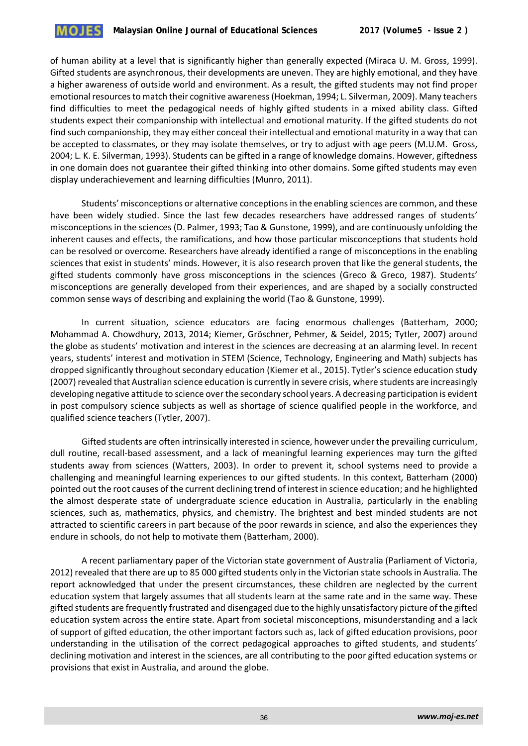

of human ability at a level that is significantly higher than generally expected (Miraca U. M. Gross, 1999). Gifted students are asynchronous, their developments are uneven. They are highly emotional, and they have a higher awareness of outside world and environment. As a result, the gifted students may not find proper emotional resources to match their cognitive awareness (Hoekman, 1994; L. Silverman, 2009). Many teachers find difficulties to meet the pedagogical needs of highly gifted students in a mixed ability class. Gifted students expect their companionship with intellectual and emotional maturity. If the gifted students do not find such companionship, they may either conceal their intellectual and emotional maturity in a way that can be accepted to classmates, or they may isolate themselves, or try to adjust with age peers (M.U.M. Gross, 2004; L. K. E. Silverman, 1993). Students can be gifted in a range of knowledge domains. However, giftedness in one domain does not guarantee their gifted thinking into other domains. Some gifted students may even display underachievement and learning difficulties (Munro, 2011).

Students' misconceptions or alternative conceptions in the enabling sciences are common, and these have been widely studied. Since the last few decades researchers have addressed ranges of students' misconceptions in the sciences (D. Palmer, 1993; Tao & Gunstone, 1999), and are continuously unfolding the inherent causes and effects, the ramifications, and how those particular misconceptions that students hold can be resolved or overcome. Researchers have already identified a range of misconceptions in the enabling sciences that exist in students' minds. However, it is also research proven that like the general students, the gifted students commonly have gross misconceptions in the sciences (Greco & Greco, 1987). Students' misconceptions are generally developed from their experiences, and are shaped by a socially constructed common sense ways of describing and explaining the world (Tao & Gunstone, 1999).

In current situation, science educators are facing enormous challenges (Batterham, 2000; Mohammad A. Chowdhury, 2013, 2014; Kiemer, Gröschner, Pehmer, & Seidel, 2015; Tytler, 2007) around the globe as students' motivation and interest in the sciences are decreasing at an alarming level. In recent years, students' interest and motivation in STEM (Science, Technology, Engineering and Math) subjects has dropped significantly throughout secondary education (Kiemer et al., 2015). Tytler's science education study (2007) revealed that Australian science education is currently in severe crisis, where students are increasingly developing negative attitude to science over the secondary school years. A decreasing participation is evident in post compulsory science subjects as well as shortage of science qualified people in the workforce, and qualified science teachers (Tytler, 2007).

Gifted students are often intrinsically interested in science, however under the prevailing curriculum, dull routine, recall-based assessment, and a lack of meaningful learning experiences may turn the gifted students away from sciences (Watters, 2003). In order to prevent it, school systems need to provide a challenging and meaningful learning experiences to our gifted students. In this context, Batterham (2000) pointed out the root causes of the current declining trend of interest in science education; and he highlighted the almost desperate state of undergraduate science education in Australia, particularly in the enabling sciences, such as, mathematics, physics, and chemistry. The brightest and best minded students are not attracted to scientific careers in part because of the poor rewards in science, and also the experiences they endure in schools, do not help to motivate them (Batterham, 2000).

A recent parliamentary paper of the Victorian state government of Australia (Parliament of Victoria, 2012) revealed that there are up to 85 000 gifted students only in the Victorian state schools in Australia. The report acknowledged that under the present circumstances, these children are neglected by the current education system that largely assumes that all students learn at the same rate and in the same way. These gifted students are frequently frustrated and disengaged due to the highly unsatisfactory picture of the gifted education system across the entire state. Apart from societal misconceptions, misunderstanding and a lack of support of gifted education, the other important factors such as, lack of gifted education provisions, poor understanding in the utilisation of the correct pedagogical approaches to gifted students, and students' declining motivation and interest in the sciences, are all contributing to the poor gifted education systems or provisions that exist in Australia, and around the globe.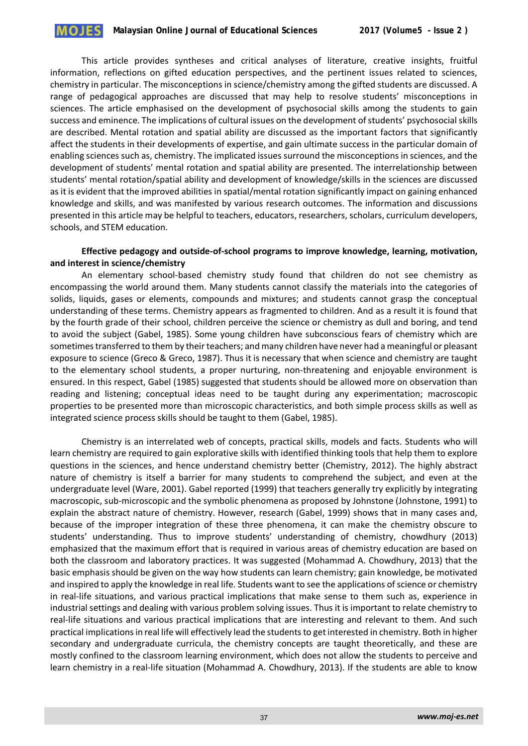This article provides syntheses and critical analyses of literature, creative insights, fruitful information, reflections on gifted education perspectives, and the pertinent issues related to sciences, chemistry in particular. The misconceptions in science/chemistry among the gifted students are discussed. A range of pedagogical approaches are discussed that may help to resolve students' misconceptions in sciences. The article emphasised on the development of psychosocial skills among the students to gain success and eminence. The implications of cultural issues on the development of students' psychosocial skills are described. Mental rotation and spatial ability are discussed as the important factors that significantly affect the students in their developments of expertise, and gain ultimate success in the particular domain of enabling sciences such as, chemistry. The implicated issues surround the misconceptions in sciences, and the development of students' mental rotation and spatial ability are presented. The interrelationship between students' mental rotation/spatial ability and development of knowledge/skills in the sciences are discussed as it is evident that the improved abilities in spatial/mental rotation significantly impact on gaining enhanced knowledge and skills, and was manifested by various research outcomes. The information and discussions presented in this article may be helpful to teachers, educators, researchers, scholars, curriculum developers, schools, and STEM education.

## **Effective pedagogy and outside-of-school programs to improve knowledge, learning, motivation, and interest in science/chemistry**

An elementary school-based chemistry study found that children do not see chemistry as encompassing the world around them. Many students cannot classify the materials into the categories of solids, liquids, gases or elements, compounds and mixtures; and students cannot grasp the conceptual understanding of these terms. Chemistry appears as fragmented to children. And as a result it is found that by the fourth grade of their school, children perceive the science or chemistry as dull and boring, and tend to avoid the subject (Gabel, 1985). Some young children have subconscious fears of chemistry which are sometimes transferred to them by their teachers; and many children have never had a meaningful or pleasant exposure to science (Greco & Greco, 1987). Thus it is necessary that when science and chemistry are taught to the elementary school students, a proper nurturing, non-threatening and enjoyable environment is ensured. In this respect, Gabel (1985) suggested that students should be allowed more on observation than reading and listening; conceptual ideas need to be taught during any experimentation; macroscopic properties to be presented more than microscopic characteristics, and both simple process skills as well as integrated science process skills should be taught to them (Gabel, 1985).

Chemistry is an interrelated web of concepts, practical skills, models and facts. Students who will learn chemistry are required to gain explorative skills with identified thinking tools that help them to explore questions in the sciences, and hence understand chemistry better (Chemistry, 2012). The highly abstract nature of chemistry is itself a barrier for many students to comprehend the subject, and even at the undergraduate level (Ware, 2001). Gabel reported (1999) that teachers generally try explicitly by integrating macroscopic, sub-microscopic and the symbolic phenomena as proposed by Johnstone (Johnstone, 1991) to explain the abstract nature of chemistry. However, research (Gabel, 1999) shows that in many cases and, because of the improper integration of these three phenomena, it can make the chemistry obscure to students' understanding. Thus to improve students' understanding of chemistry, chowdhury (2013) emphasized that the maximum effort that is required in various areas of chemistry education are based on both the classroom and laboratory practices. It was suggested (Mohammad A. Chowdhury, 2013) that the basic emphasis should be given on the way how students can learn chemistry; gain knowledge, be motivated and inspired to apply the knowledge in real life. Students want to see the applications of science or chemistry in real-life situations, and various practical implications that make sense to them such as, experience in industrial settings and dealing with various problem solving issues. Thus it is important to relate chemistry to real-life situations and various practical implications that are interesting and relevant to them. And such practical implications in real life will effectively lead the students to get interested in chemistry. Both in higher secondary and undergraduate curricula, the chemistry concepts are taught theoretically, and these are mostly confined to the classroom learning environment, which does not allow the students to perceive and learn chemistry in a real-life situation (Mohammad A. Chowdhury, 2013). If the students are able to know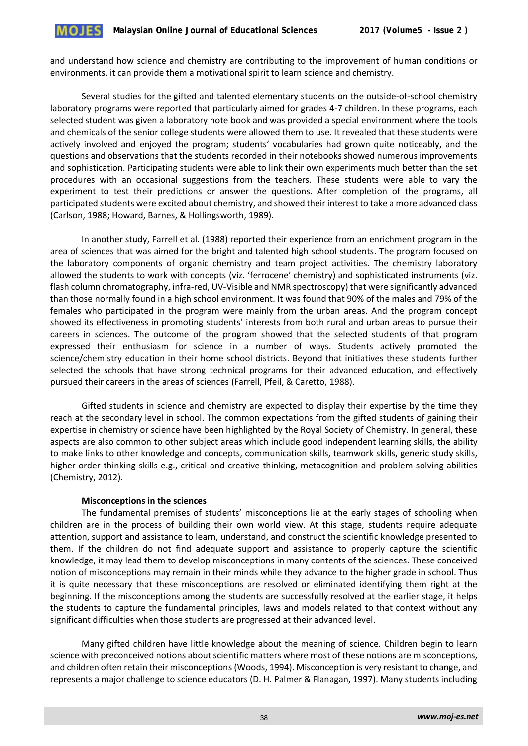

and understand how science and chemistry are contributing to the improvement of human conditions or environments, it can provide them a motivational spirit to learn science and chemistry.

Several studies for the gifted and talented elementary students on the outside-of-school chemistry laboratory programs were reported that particularly aimed for grades 4-7 children. In these programs, each selected student was given a laboratory note book and was provided a special environment where the tools and chemicals of the senior college students were allowed them to use. It revealed that these students were actively involved and enjoyed the program; students' vocabularies had grown quite noticeably, and the questions and observations that the students recorded in their notebooks showed numerous improvements and sophistication. Participating students were able to link their own experiments much better than the set procedures with an occasional suggestions from the teachers. These students were able to vary the experiment to test their predictions or answer the questions. After completion of the programs, all participated students were excited about chemistry, and showed their interest to take a more advanced class (Carlson, 1988; Howard, Barnes, & Hollingsworth, 1989).

In another study, Farrell et al. (1988) reported their experience from an enrichment program in the area of sciences that was aimed for the bright and talented high school students. The program focused on the laboratory components of organic chemistry and team project activities. The chemistry laboratory allowed the students to work with concepts (viz. 'ferrocene' chemistry) and sophisticated instruments (viz. flash column chromatography, infra-red, UV-Visible and NMR spectroscopy) that were significantly advanced than those normally found in a high school environment. It was found that 90% of the males and 79% of the females who participated in the program were mainly from the urban areas. And the program concept showed its effectiveness in promoting students' interests from both rural and urban areas to pursue their careers in sciences. The outcome of the program showed that the selected students of that program expressed their enthusiasm for science in a number of ways. Students actively promoted the science/chemistry education in their home school districts. Beyond that initiatives these students further selected the schools that have strong technical programs for their advanced education, and effectively pursued their careers in the areas of sciences (Farrell, Pfeil, & Caretto, 1988).

Gifted students in science and chemistry are expected to display their expertise by the time they reach at the secondary level in school. The common expectations from the gifted students of gaining their expertise in chemistry or science have been highlighted by the Royal Society of Chemistry. In general, these aspects are also common to other subject areas which include good independent learning skills, the ability to make links to other knowledge and concepts, communication skills, teamwork skills, generic study skills, higher order thinking skills e.g., critical and creative thinking, metacognition and problem solving abilities (Chemistry, 2012).

#### **Misconceptions in the sciences**

The fundamental premises of students' misconceptions lie at the early stages of schooling when children are in the process of building their own world view. At this stage, students require adequate attention, support and assistance to learn, understand, and construct the scientific knowledge presented to them. If the children do not find adequate support and assistance to properly capture the scientific knowledge, it may lead them to develop misconceptions in many contents of the sciences. These conceived notion of misconceptions may remain in their minds while they advance to the higher grade in school. Thus it is quite necessary that these misconceptions are resolved or eliminated identifying them right at the beginning. If the misconceptions among the students are successfully resolved at the earlier stage, it helps the students to capture the fundamental principles, laws and models related to that context without any significant difficulties when those students are progressed at their advanced level.

Many gifted children have little knowledge about the meaning of science. Children begin to learn science with preconceived notions about scientific matters where most of these notions are misconceptions, and children often retain their misconceptions (Woods, 1994). Misconception is very resistant to change, and represents a major challenge to science educators (D. H. Palmer & Flanagan, 1997). Many students including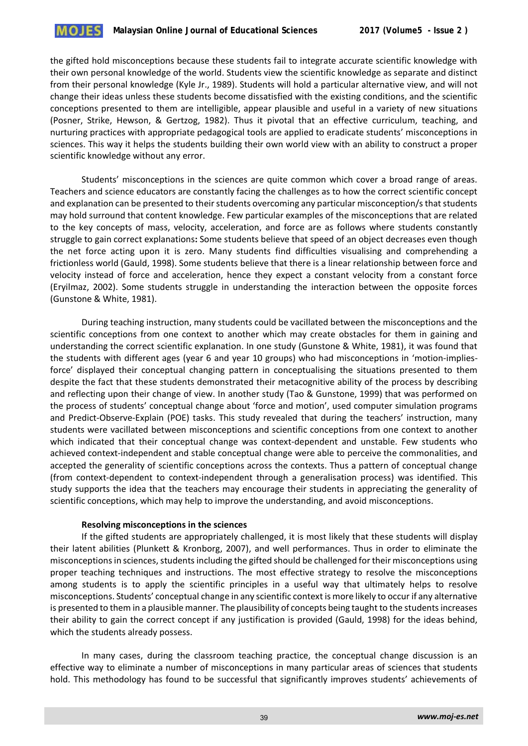

the gifted hold misconceptions because these students fail to integrate accurate scientific knowledge with their own personal knowledge of the world. Students view the scientific knowledge as separate and distinct from their personal knowledge (Kyle Jr., 1989). Students will hold a particular alternative view, and will not change their ideas unless these students become dissatisfied with the existing conditions, and the scientific conceptions presented to them are intelligible, appear plausible and useful in a variety of new situations (Posner, Strike, Hewson, & Gertzog, 1982). Thus it pivotal that an effective curriculum, teaching, and nurturing practices with appropriate pedagogical tools are applied to eradicate students' misconceptions in sciences. This way it helps the students building their own world view with an ability to construct a proper scientific knowledge without any error.

Students' misconceptions in the sciences are quite common which cover a broad range of areas. Teachers and science educators are constantly facing the challenges as to how the correct scientific concept and explanation can be presented to their students overcoming any particular misconception/s that students may hold surround that content knowledge. Few particular examples of the misconceptions that are related to the key concepts of mass, velocity, acceleration, and force are as follows where students constantly struggle to gain correct explanations**:** Some students believe that speed of an object decreases even though the net force acting upon it is zero. Many students find difficulties visualising and comprehending a frictionless world (Gauld, 1998). Some students believe that there is a linear relationship between force and velocity instead of force and acceleration, hence they expect a constant velocity from a constant force (Eryilmaz, 2002). Some students struggle in understanding the interaction between the opposite forces (Gunstone & White, 1981).

During teaching instruction, many students could be vacillated between the misconceptions and the scientific conceptions from one context to another which may create obstacles for them in gaining and understanding the correct scientific explanation. In one study (Gunstone & White, 1981), it was found that the students with different ages (year 6 and year 10 groups) who had misconceptions in 'motion-impliesforce' displayed their conceptual changing pattern in conceptualising the situations presented to them despite the fact that these students demonstrated their metacognitive ability of the process by describing and reflecting upon their change of view. In another study (Tao & Gunstone, 1999) that was performed on the process of students' conceptual change about 'force and motion', used computer simulation programs and Predict-Observe-Explain (POE) tasks. This study revealed that during the teachers' instruction, many students were vacillated between misconceptions and scientific conceptions from one context to another which indicated that their conceptual change was context-dependent and unstable. Few students who achieved context-independent and stable conceptual change were able to perceive the commonalities, and accepted the generality of scientific conceptions across the contexts. Thus a pattern of conceptual change (from context-dependent to context-independent through a generalisation process) was identified. This study supports the idea that the teachers may encourage their students in appreciating the generality of scientific conceptions, which may help to improve the understanding, and avoid misconceptions.

#### **Resolving misconceptions in the sciences**

If the gifted students are appropriately challenged, it is most likely that these students will display their latent abilities (Plunkett & Kronborg, 2007), and well performances. Thus in order to eliminate the misconceptions in sciences, students including the gifted should be challenged for their misconceptions using proper teaching techniques and instructions. The most effective strategy to resolve the misconceptions among students is to apply the scientific principles in a useful way that ultimately helps to resolve misconceptions. Students' conceptual change in any scientific context is more likely to occur if any alternative is presented to them in a plausible manner. The plausibility of concepts being taught to the students increases their ability to gain the correct concept if any justification is provided (Gauld, 1998) for the ideas behind, which the students already possess.

In many cases, during the classroom teaching practice, the conceptual change discussion is an effective way to eliminate a number of misconceptions in many particular areas of sciences that students hold. This methodology has found to be successful that significantly improves students' achievements of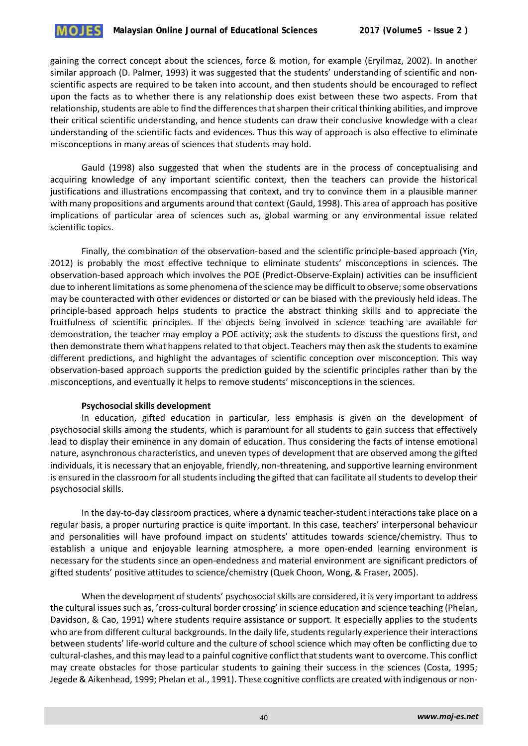

gaining the correct concept about the sciences, force & motion, for example (Eryilmaz, 2002). In another similar approach (D. Palmer, 1993) it was suggested that the students' understanding of scientific and nonscientific aspects are required to be taken into account, and then students should be encouraged to reflect upon the facts as to whether there is any relationship does exist between these two aspects. From that relationship, students are able to find the differences that sharpen their critical thinking abilities, and improve their critical scientific understanding, and hence students can draw their conclusive knowledge with a clear understanding of the scientific facts and evidences. Thus this way of approach is also effective to eliminate misconceptions in many areas of sciences that students may hold.

Gauld (1998) also suggested that when the students are in the process of conceptualising and acquiring knowledge of any important scientific context, then the teachers can provide the historical justifications and illustrations encompassing that context, and try to convince them in a plausible manner with many propositions and arguments around that context (Gauld, 1998). This area of approach has positive implications of particular area of sciences such as, global warming or any environmental issue related scientific topics.

Finally, the combination of the observation-based and the scientific principle-based approach (Yin, 2012) is probably the most effective technique to eliminate students' misconceptions in sciences. The observation-based approach which involves the POE (Predict-Observe-Explain) activities can be insufficient due to inherent limitations as some phenomena of the science may be difficult to observe; some observations may be counteracted with other evidences or distorted or can be biased with the previously held ideas. The principle-based approach helps students to practice the abstract thinking skills and to appreciate the fruitfulness of scientific principles. If the objects being involved in science teaching are available for demonstration, the teacher may employ a POE activity; ask the students to discuss the questions first, and then demonstrate them what happens related to that object. Teachers may then ask the students to examine different predictions, and highlight the advantages of scientific conception over misconception. This way observation-based approach supports the prediction guided by the scientific principles rather than by the misconceptions, and eventually it helps to remove students' misconceptions in the sciences.

#### **Psychosocial skills development**

In education, gifted education in particular, less emphasis is given on the development of psychosocial skills among the students, which is paramount for all students to gain success that effectively lead to display their eminence in any domain of education. Thus considering the facts of intense emotional nature, asynchronous characteristics, and uneven types of development that are observed among the gifted individuals, it is necessary that an enjoyable, friendly, non-threatening, and supportive learning environment is ensured in the classroom for all students including the gifted that can facilitate all students to develop their psychosocial skills.

In the day-to-day classroom practices, where a dynamic teacher-student interactions take place on a regular basis, a proper nurturing practice is quite important. In this case, teachers' interpersonal behaviour and personalities will have profound impact on students' attitudes towards science/chemistry. Thus to establish a unique and enjoyable learning atmosphere, a more open-ended learning environment is necessary for the students since an open-endedness and material environment are significant predictors of gifted students' positive attitudes to science/chemistry (Quek Choon, Wong, & Fraser, 2005).

When the development of students' psychosocial skills are considered, it is very important to address the cultural issues such as, 'cross-cultural border crossing' in science education and science teaching (Phelan, Davidson, & Cao, 1991) where students require assistance or support. It especially applies to the students who are from different cultural backgrounds. In the daily life, students regularly experience their interactions between students' life-world culture and the culture of school science which may often be conflicting due to cultural-clashes, and this may lead to a painful cognitive conflict that students want to overcome. This conflict may create obstacles for those particular students to gaining their success in the sciences (Costa, 1995; Jegede & Aikenhead, 1999; Phelan et al., 1991). These cognitive conflicts are created with indigenous or non-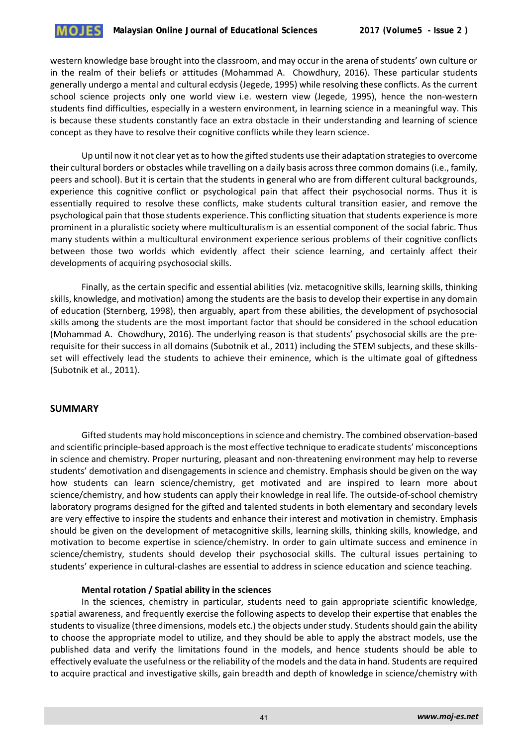

western knowledge base brought into the classroom, and may occur in the arena of students' own culture or in the realm of their beliefs or attitudes (Mohammad A. Chowdhury, 2016). These particular students generally undergo a mental and cultural ecdysis (Jegede, 1995) while resolving these conflicts. As the current school science projects only one world view i.e. western view (Jegede, 1995), hence the non-western students find difficulties, especially in a western environment, in learning science in a meaningful way. This is because these students constantly face an extra obstacle in their understanding and learning of science concept as they have to resolve their cognitive conflicts while they learn science.

Up until now it not clear yet as to how the gifted students use their adaptation strategies to overcome their cultural borders or obstacles while travelling on a daily basis across three common domains (i.e., family, peers and school). But it is certain that the students in general who are from different cultural backgrounds, experience this cognitive conflict or psychological pain that affect their psychosocial norms. Thus it is essentially required to resolve these conflicts, make students cultural transition easier, and remove the psychological pain that those students experience. This conflicting situation that students experience is more prominent in a pluralistic society where multiculturalism is an essential component of the social fabric. Thus many students within a multicultural environment experience serious problems of their cognitive conflicts between those two worlds which evidently affect their science learning, and certainly affect their developments of acquiring psychosocial skills.

Finally, as the certain specific and essential abilities (viz. metacognitive skills, learning skills, thinking skills, knowledge, and motivation) among the students are the basis to develop their expertise in any domain of education (Sternberg, 1998), then arguably, apart from these abilities, the development of psychosocial skills among the students are the most important factor that should be considered in the school education (Mohammad A. Chowdhury, 2016). The underlying reason is that students' psychosocial skills are the prerequisite for their success in all domains (Subotnik et al., 2011) including the STEM subjects, and these skillsset will effectively lead the students to achieve their eminence, which is the ultimate goal of giftedness (Subotnik et al., 2011).

#### **SUMMARY**

Gifted students may hold misconceptions in science and chemistry. The combined observation-based and scientific principle-based approach is the most effective technique to eradicate students' misconceptions in science and chemistry. Proper nurturing, pleasant and non-threatening environment may help to reverse students' demotivation and disengagements in science and chemistry. Emphasis should be given on the way how students can learn science/chemistry, get motivated and are inspired to learn more about science/chemistry, and how students can apply their knowledge in real life. The outside-of-school chemistry laboratory programs designed for the gifted and talented students in both elementary and secondary levels are very effective to inspire the students and enhance their interest and motivation in chemistry. Emphasis should be given on the development of metacognitive skills, learning skills, thinking skills, knowledge, and motivation to become expertise in science/chemistry. In order to gain ultimate success and eminence in science/chemistry, students should develop their psychosocial skills. The cultural issues pertaining to students' experience in cultural-clashes are essential to address in science education and science teaching.

#### **Mental rotation / Spatial ability in the sciences**

In the sciences, chemistry in particular, students need to gain appropriate scientific knowledge, spatial awareness, and frequently exercise the following aspects to develop their expertise that enables the students to visualize (three dimensions, models etc.) the objects under study. Students should gain the ability to choose the appropriate model to utilize, and they should be able to apply the abstract models, use the published data and verify the limitations found in the models, and hence students should be able to effectively evaluate the usefulness or the reliability of the models and the data in hand. Students are required to acquire practical and investigative skills, gain breadth and depth of knowledge in science/chemistry with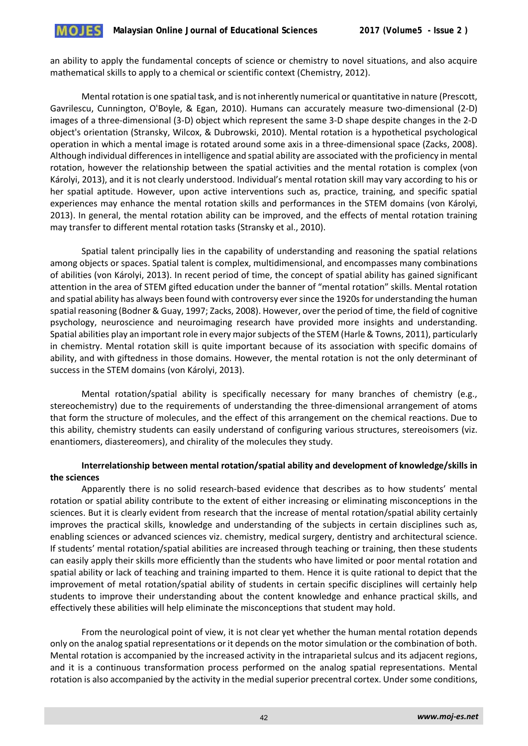an ability to apply the fundamental concepts of science or chemistry to novel situations, and also acquire mathematical skills to apply to a chemical or scientific context (Chemistry, 2012).

Mental rotation is one spatial task, and is not inherently numerical or quantitative in nature (Prescott, Gavrilescu, Cunnington, O'Boyle, & Egan, 2010). Humans can accurately measure two-dimensional (2-D) images of a three-dimensional (3-D) object which represent the same 3-D shape despite changes in the 2-D object's orientation (Stransky, Wilcox, & Dubrowski, 2010). Mental rotation is a hypothetical psychological operation in which a mental image is rotated around some axis in a three-dimensional space (Zacks, 2008). Although individual differences in intelligence and spatial ability are associated with the proficiency in mental rotation, however the relationship between the spatial activities and the mental rotation is complex (von Károlyi, 2013), and it is not clearly understood. Individual's mental rotation skill may vary according to his or her spatial aptitude. However, upon active interventions such as, practice, training, and specific spatial experiences may enhance the mental rotation skills and performances in the STEM domains (von Károlyi, 2013). In general, the mental rotation ability can be improved, and the effects of mental rotation training may transfer to different mental rotation tasks (Stransky et al., 2010).

Spatial talent principally lies in the capability of understanding and reasoning the spatial relations among objects or spaces. Spatial talent is complex, multidimensional, and encompasses many combinations of abilities (von Károlyi, 2013). In recent period of time, the concept of spatial ability has gained significant attention in the area of STEM gifted education under the banner of "mental rotation" skills. Mental rotation and spatial ability has always been found with controversy ever since the 1920s for understanding the human spatial reasoning (Bodner & Guay, 1997; Zacks, 2008). However, over the period of time, the field of cognitive psychology, neuroscience and neuroimaging research have provided more insights and understanding. Spatial abilities play an important role in every major subjects of the STEM (Harle & Towns, 2011), particularly in chemistry. Mental rotation skill is quite important because of its association with specific domains of ability, and with giftedness in those domains. However, the mental rotation is not the only determinant of success in the STEM domains (von Károlyi, 2013).

Mental rotation/spatial ability is specifically necessary for many branches of chemistry (e.g., stereochemistry) due to the requirements of understanding the three-dimensional arrangement of atoms that form the structure of molecules, and the effect of this arrangement on the chemical reactions. Due to this ability, chemistry students can easily understand of configuring various structures, stereoisomers (viz. enantiomers, diastereomers), and chirality of the molecules they study.

# **Interrelationship between mental rotation/spatial ability and development of knowledge/skills in the sciences**

Apparently there is no solid research-based evidence that describes as to how students' mental rotation or spatial ability contribute to the extent of either increasing or eliminating misconceptions in the sciences. But it is clearly evident from research that the increase of mental rotation/spatial ability certainly improves the practical skills, knowledge and understanding of the subjects in certain disciplines such as, enabling sciences or advanced sciences viz. chemistry, medical surgery, dentistry and architectural science. If students' mental rotation/spatial abilities are increased through teaching or training, then these students can easily apply their skills more efficiently than the students who have limited or poor mental rotation and spatial ability or lack of teaching and training imparted to them. Hence it is quite rational to depict that the improvement of metal rotation/spatial ability of students in certain specific disciplines will certainly help students to improve their understanding about the content knowledge and enhance practical skills, and effectively these abilities will help eliminate the misconceptions that student may hold.

From the neurological point of view, it is not clear yet whether the human mental rotation depends only on the analog spatial representations or it depends on the motor simulation or the combination of both. Mental rotation is accompanied by the increased activity in the intraparietal sulcus and its adjacent regions, and it is a continuous transformation process performed on the analog spatial representations. Mental rotation is also accompanied by the activity in the medial superior precentral cortex. Under some conditions,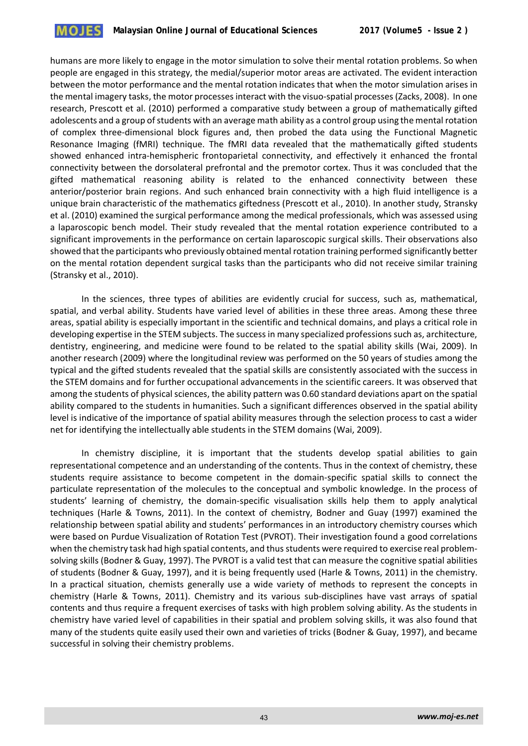

humans are more likely to engage in the motor simulation to solve their mental rotation problems. So when people are engaged in this strategy, the medial/superior motor areas are activated. The evident interaction between the motor performance and the mental rotation indicates that when the motor simulation arises in the mental imagery tasks, the motor processes interact with the visuo-spatial processes (Zacks, 2008). In one research, Prescott et al. (2010) performed a comparative study between a group of mathematically gifted adolescents and a group of students with an average math ability as a control group using the mental rotation of complex three-dimensional block figures and, then probed the data using the Functional Magnetic Resonance Imaging (fMRI) technique. The fMRI data revealed that the mathematically gifted students showed enhanced intra-hemispheric frontoparietal connectivity, and effectively it enhanced the frontal connectivity between the dorsolateral prefrontal and the premotor cortex. Thus it was concluded that the gifted mathematical reasoning ability is related to the enhanced connectivity between these anterior/posterior brain regions. And such enhanced brain connectivity with a high fluid intelligence is a unique brain characteristic of the mathematics giftedness (Prescott et al., 2010). In another study, Stransky et al. (2010) examined the surgical performance among the medical professionals, which was assessed using a laparoscopic bench model. Their study revealed that the mental rotation experience contributed to a significant improvements in the performance on certain laparoscopic surgical skills. Their observations also showed that the participants who previously obtained mental rotation training performed significantly better on the mental rotation dependent surgical tasks than the participants who did not receive similar training (Stransky et al., 2010).

In the sciences, three types of abilities are evidently crucial for success, such as, mathematical, spatial, and verbal ability. Students have varied level of abilities in these three areas. Among these three areas, spatial ability is especially important in the scientific and technical domains, and plays a critical role in developing expertise in the STEM subjects. The success in many specialized professions such as, architecture, dentistry, engineering, and medicine were found to be related to the spatial ability skills (Wai, 2009). In another research (2009) where the longitudinal review was performed on the 50 years of studies among the typical and the gifted students revealed that the spatial skills are consistently associated with the success in the STEM domains and for further occupational advancements in the scientific careers. It was observed that among the students of physical sciences, the ability pattern was 0.60 standard deviations apart on the spatial ability compared to the students in humanities. Such a significant differences observed in the spatial ability level is indicative of the importance of spatial ability measures through the selection process to cast a wider net for identifying the intellectually able students in the STEM domains (Wai, 2009).

In chemistry discipline, it is important that the students develop spatial abilities to gain representational competence and an understanding of the contents. Thus in the context of chemistry, these students require assistance to become competent in the domain-specific spatial skills to connect the particulate representation of the molecules to the conceptual and symbolic knowledge. In the process of students' learning of chemistry, the domain-specific visualisation skills help them to apply analytical techniques (Harle & Towns, 2011). In the context of chemistry, Bodner and Guay (1997) examined the relationship between spatial ability and students' performances in an introductory chemistry courses which were based on Purdue Visualization of Rotation Test (PVROT). Their investigation found a good correlations when the chemistry task had high spatial contents, and thus students were required to exercise real problemsolving skills (Bodner & Guay, 1997). The PVROT is a valid test that can measure the cognitive spatial abilities of students (Bodner & Guay, 1997), and it is being frequently used (Harle & Towns, 2011) in the chemistry. In a practical situation, chemists generally use a wide variety of methods to represent the concepts in chemistry (Harle & Towns, 2011). Chemistry and its various sub-disciplines have vast arrays of spatial contents and thus require a frequent exercises of tasks with high problem solving ability. As the students in chemistry have varied level of capabilities in their spatial and problem solving skills, it was also found that many of the students quite easily used their own and varieties of tricks (Bodner & Guay, 1997), and became successful in solving their chemistry problems.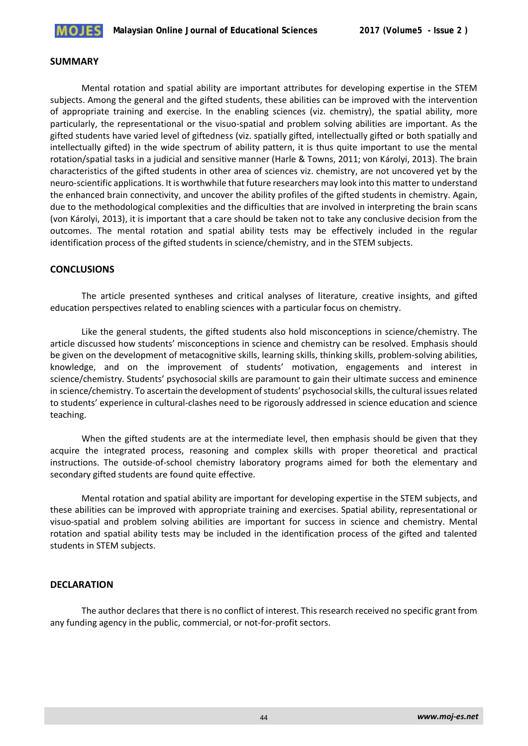

#### **SUMMARY**

Mental rotation and spatial ability are important attributes for developing expertise in the STEM subjects. Among the general and the gifted students, these abilities can be improved with the intervention of appropriate training and exercise. In the enabling sciences (viz. chemistry), the spatial ability, more particularly, the representational or the visuo-spatial and problem solving abilities are important. As the gifted students have varied level of giftedness (viz. spatially gifted, intellectually gifted or both spatially and intellectually gifted) in the wide spectrum of ability pattern, it is thus quite important to use the mental rotation/spatial tasks in a judicial and sensitive manner (Harle & Towns, 2011; von Károlyi, 2013). The brain characteristics of the gifted students in other area of sciences viz. chemistry, are not uncovered yet by the neuro-scientific applications. It is worthwhile that future researchers may look into this matter to understand the enhanced brain connectivity, and uncover the ability profiles of the gifted students in chemistry. Again, due to the methodological complexities and the difficulties that are involved in interpreting the brain scans (von Károlyi, 2013), it is important that a care should be taken not to take any conclusive decision from the outcomes. The mental rotation and spatial ability tests may be effectively included in the regular identification process of the gifted students in science/chemistry, and in the STEM subjects.

## **CONCLUSIONS**

The article presented syntheses and critical analyses of literature, creative insights, and gifted education perspectives related to enabling sciences with a particular focus on chemistry.

Like the general students, the gifted students also hold misconceptions in science/chemistry. The article discussed how students' misconceptions in science and chemistry can be resolved. Emphasis should be given on the development of metacognitive skills, learning skills, thinking skills, problem-solving abilities, knowledge, and on the improvement of students' motivation, engagements and interest in science/chemistry. Students' psychosocial skills are paramount to gain their ultimate success and eminence in science/chemistry. To ascertain the development of students' psychosocial skills, the cultural issues related to students' experience in cultural-clashes need to be rigorously addressed in science education and science teaching.

When the gifted students are at the intermediate level, then emphasis should be given that they acquire the integrated process, reasoning and complex skills with proper theoretical and practical instructions. The outside-of-school chemistry laboratory programs aimed for both the elementary and secondary gifted students are found quite effective.

Mental rotation and spatial ability are important for developing expertise in the STEM subjects, and these abilities can be improved with appropriate training and exercises. Spatial ability, representational or visuo-spatial and problem solving abilities are important for success in science and chemistry. Mental rotation and spatial ability tests may be included in the identification process of the gifted and talented students in STEM subjects.

# **DECLARATION**

The author declares that there is no conflict of interest. This research received no specific grant from any funding agency in the public, commercial, or not-for-profit sectors.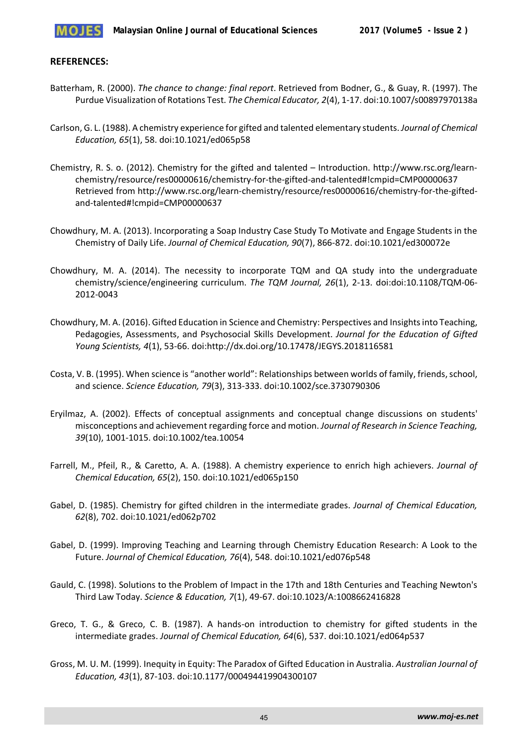

## **REFERENCES:**

- Batterham, R. (2000). *The chance to change: final report*. Retrieved from Bodner, G., & Guay, R. (1997). The Purdue Visualization of Rotations Test. *The Chemical Educator, 2*(4), 1-17. doi:10.1007/s00897970138a
- Carlson, G. L. (1988). A chemistry experience for gifted and talented elementary students. *Journal of Chemical Education, 65*(1), 58. doi:10.1021/ed065p58
- Chemistry, R. S. o. (2012). Chemistry for the gifted and talented Introduction. http://www.rsc.org/learnchemistry/resource/res00000616/chemistry-for-the-gifted-and-talented#!cmpid=CMP00000637 Retrieved from http://www.rsc.org/learn-chemistry/resource/res00000616/chemistry-for-the-giftedand-talented#!cmpid=CMP00000637
- Chowdhury, M. A. (2013). Incorporating a Soap Industry Case Study To Motivate and Engage Students in the Chemistry of Daily Life. *Journal of Chemical Education, 90*(7), 866-872. doi:10.1021/ed300072e
- Chowdhury, M. A. (2014). The necessity to incorporate TQM and QA study into the undergraduate chemistry/science/engineering curriculum. *The TQM Journal, 26*(1), 2-13. doi:doi:10.1108/TQM-06- 2012-0043
- Chowdhury, M. A. (2016). Gifted Education in Science and Chemistry: Perspectives and Insights into Teaching, Pedagogies, Assessments, and Psychosocial Skills Development. *Journal for the Education of Gifted Young Scientists, 4*(1), 53-66. doi:http://dx.doi.org/10.17478/JEGYS.2018116581
- Costa, V. B. (1995). When science is "another world": Relationships between worlds of family, friends, school, and science. *Science Education, 79*(3), 313-333. doi:10.1002/sce.3730790306
- Eryilmaz, A. (2002). Effects of conceptual assignments and conceptual change discussions on students' misconceptions and achievement regarding force and motion. *Journal of Research in Science Teaching, 39*(10), 1001-1015. doi:10.1002/tea.10054
- Farrell, M., Pfeil, R., & Caretto, A. A. (1988). A chemistry experience to enrich high achievers. *Journal of Chemical Education, 65*(2), 150. doi:10.1021/ed065p150
- Gabel, D. (1985). Chemistry for gifted children in the intermediate grades. *Journal of Chemical Education, 62*(8), 702. doi:10.1021/ed062p702
- Gabel, D. (1999). Improving Teaching and Learning through Chemistry Education Research: A Look to the Future. *Journal of Chemical Education, 76*(4), 548. doi:10.1021/ed076p548
- Gauld, C. (1998). Solutions to the Problem of Impact in the 17th and 18th Centuries and Teaching Newton's Third Law Today. *Science & Education, 7*(1), 49-67. doi:10.1023/A:1008662416828
- Greco, T. G., & Greco, C. B. (1987). A hands-on introduction to chemistry for gifted students in the intermediate grades. *Journal of Chemical Education, 64*(6), 537. doi:10.1021/ed064p537
- Gross, M. U. M. (1999). Inequity in Equity: The Paradox of Gifted Education in Australia. *Australian Journal of Education, 43*(1), 87-103. doi:10.1177/000494419904300107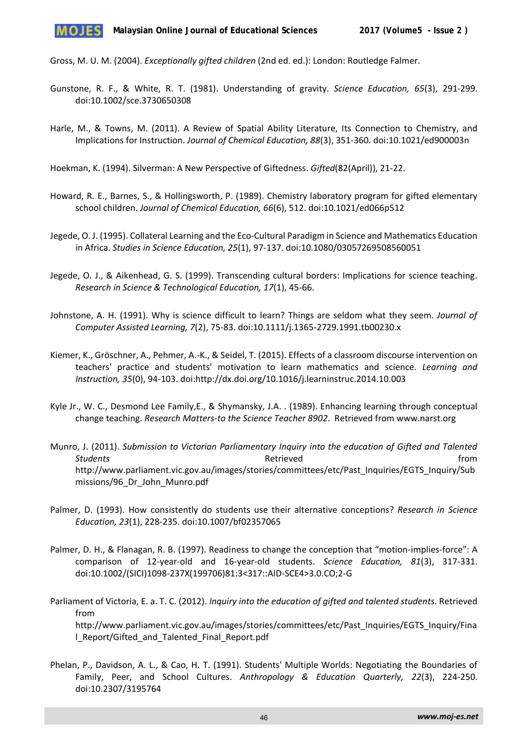Gross, M. U. M. (2004). *Exceptionally gifted children* (2nd ed. ed.): London: Routledge Falmer.

- Gunstone, R. F., & White, R. T. (1981). Understanding of gravity. *Science Education, 65*(3), 291-299. doi:10.1002/sce.3730650308
- Harle, M., & Towns, M. (2011). A Review of Spatial Ability Literature, Its Connection to Chemistry, and Implications for Instruction. *Journal of Chemical Education, 88*(3), 351-360. doi:10.1021/ed900003n

Hoekman, K. (1994). Silverman: A New Perspective of Giftedness. *Gifted*(82(April)), 21-22.

- Howard, R. E., Barnes, S., & Hollingsworth, P. (1989). Chemistry laboratory program for gifted elementary school children. *Journal of Chemical Education, 66*(6), 512. doi:10.1021/ed066p512
- Jegede, O. J. (1995). Collateral Learning and the Eco-Cultural Paradigm in Science and Mathematics Education in Africa. *Studies in Science Education, 25*(1), 97-137. doi:10.1080/03057269508560051
- Jegede, O. J., & Aikenhead, G. S. (1999). Transcending cultural borders: Implications for science teaching. *Research in Science & Technological Education, 17*(1), 45-66.
- Johnstone, A. H. (1991). Why is science difficult to learn? Things are seldom what they seem. *Journal of Computer Assisted Learning, 7*(2), 75-83. doi:10.1111/j.1365-2729.1991.tb00230.x
- Kiemer, K., Gröschner, A., Pehmer, A.-K., & Seidel, T. (2015). Effects of a classroom discourse intervention on teachers' practice and students' motivation to learn mathematics and science. *Learning and Instruction, 35*(0), 94-103. doi:http://dx.doi.org/10.1016/j.learninstruc.2014.10.003
- Kyle Jr., W. C., Desmond Lee Family,E., & Shymansky, J.A. . (1989). Enhancing learning through conceptual change teaching. *Research Matters-to the Science Teacher 8902*. Retrieved from www.narst.org
- Munro, J. (2011). *Submission to Victorian Parliamentary Inquiry into the education of Gifted and Talented*  **Students Retrieved Retrieved Retrieved** *Retrieved Retrieved* http://www.parliament.vic.gov.au/images/stories/committees/etc/Past\_Inquiries/EGTS\_Inquiry/Sub missions/96\_Dr\_John\_Munro.pdf
- Palmer, D. (1993). How consistently do students use their alternative conceptions? *Research in Science Education, 23*(1), 228-235. doi:10.1007/bf02357065
- Palmer, D. H., & Flanagan, R. B. (1997). Readiness to change the conception that "motion-implies-force": A comparison of 12-year-old and 16-year-old students. *Science Education, 81*(3), 317-331. doi:10.1002/(SICI)1098-237X(199706)81:3<317::AID-SCE4>3.0.CO;2-G
- Parliament of Victoria, E. a. T. C. (2012). *Inquiry into the education of gifted and talented students*. Retrieved from http://www.parliament.vic.gov.au/images/stories/committees/etc/Past\_Inquiries/EGTS\_Inquiry/Fina l\_Report/Gifted\_and\_Talented\_Final\_Report.pdf
- Phelan, P., Davidson, A. L., & Cao, H. T. (1991). Students' Multiple Worlds: Negotiating the Boundaries of Family, Peer, and School Cultures. *Anthropology & Education Quarterly, 22*(3), 224-250. doi:10.2307/3195764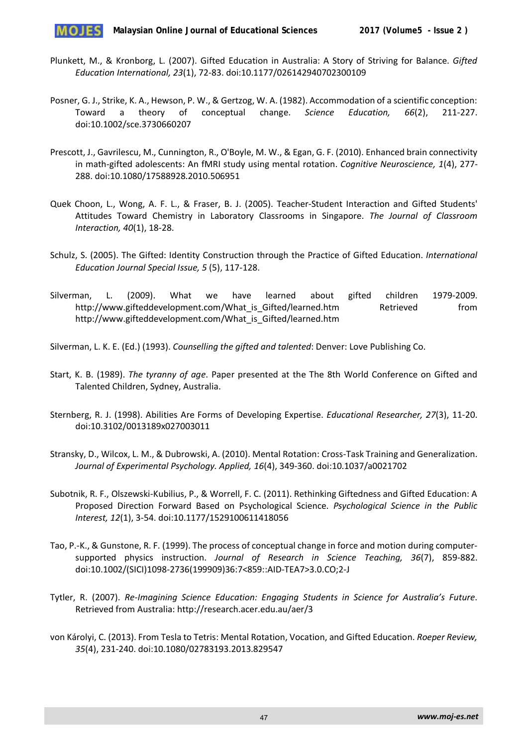

- Plunkett, M., & Kronborg, L. (2007). Gifted Education in Australia: A Story of Striving for Balance. *Gifted Education International, 23*(1), 72-83. doi:10.1177/026142940702300109
- Posner, G. J., Strike, K. A., Hewson, P. W., & Gertzog, W. A. (1982). Accommodation of a scientific conception: Toward a theory of conceptual change. *Science Education, 66*(2), 211-227. doi:10.1002/sce.3730660207
- Prescott, J., Gavrilescu, M., Cunnington, R., O'Boyle, M. W., & Egan, G. F. (2010). Enhanced brain connectivity in math-gifted adolescents: An fMRI study using mental rotation. *Cognitive Neuroscience, 1*(4), 277- 288. doi:10.1080/17588928.2010.506951
- Quek Choon, L., Wong, A. F. L., & Fraser, B. J. (2005). Teacher-Student Interaction and Gifted Students' Attitudes Toward Chemistry in Laboratory Classrooms in Singapore. *The Journal of Classroom Interaction, 40*(1), 18-28.
- Schulz, S. (2005). The Gifted: Identity Construction through the Practice of Gifted Education. *International Education Journal Special Issue, 5* (5), 117-128.
- Silverman, L. (2009). What we have learned about gifted children 1979-2009. http://www.gifteddevelopment.com/What\_is\_Gifted/learned.htm Retrieved from http://www.gifteddevelopment.com/What\_is\_Gifted/learned.htm
- Silverman, L. K. E. (Ed.) (1993). *Counselling the gifted and talented*: Denver: Love Publishing Co.
- Start, K. B. (1989). *The tyranny of age*. Paper presented at the The 8th World Conference on Gifted and Talented Children, Sydney, Australia.
- Sternberg, R. J. (1998). Abilities Are Forms of Developing Expertise. *Educational Researcher, 27*(3), 11-20. doi:10.3102/0013189x027003011
- Stransky, D., Wilcox, L. M., & Dubrowski, A. (2010). Mental Rotation: Cross-Task Training and Generalization. *Journal of Experimental Psychology. Applied, 16*(4), 349-360. doi:10.1037/a0021702
- Subotnik, R. F., Olszewski-Kubilius, P., & Worrell, F. C. (2011). Rethinking Giftedness and Gifted Education: A Proposed Direction Forward Based on Psychological Science. *Psychological Science in the Public Interest, 12*(1), 3-54. doi:10.1177/1529100611418056
- Tao, P.-K., & Gunstone, R. F. (1999). The process of conceptual change in force and motion during computersupported physics instruction. *Journal of Research in Science Teaching, 36*(7), 859-882. doi:10.1002/(SICI)1098-2736(199909)36:7<859::AID-TEA7>3.0.CO;2-J
- Tytler, R. (2007). *Re-Imagining Science Education: Engaging Students in Science for Australia's Future*. Retrieved from Australia: http://research.acer.edu.au/aer/3
- von Károlyi, C. (2013). From Tesla to Tetris: Mental Rotation, Vocation, and Gifted Education. *Roeper Review, 35*(4), 231-240. doi:10.1080/02783193.2013.829547